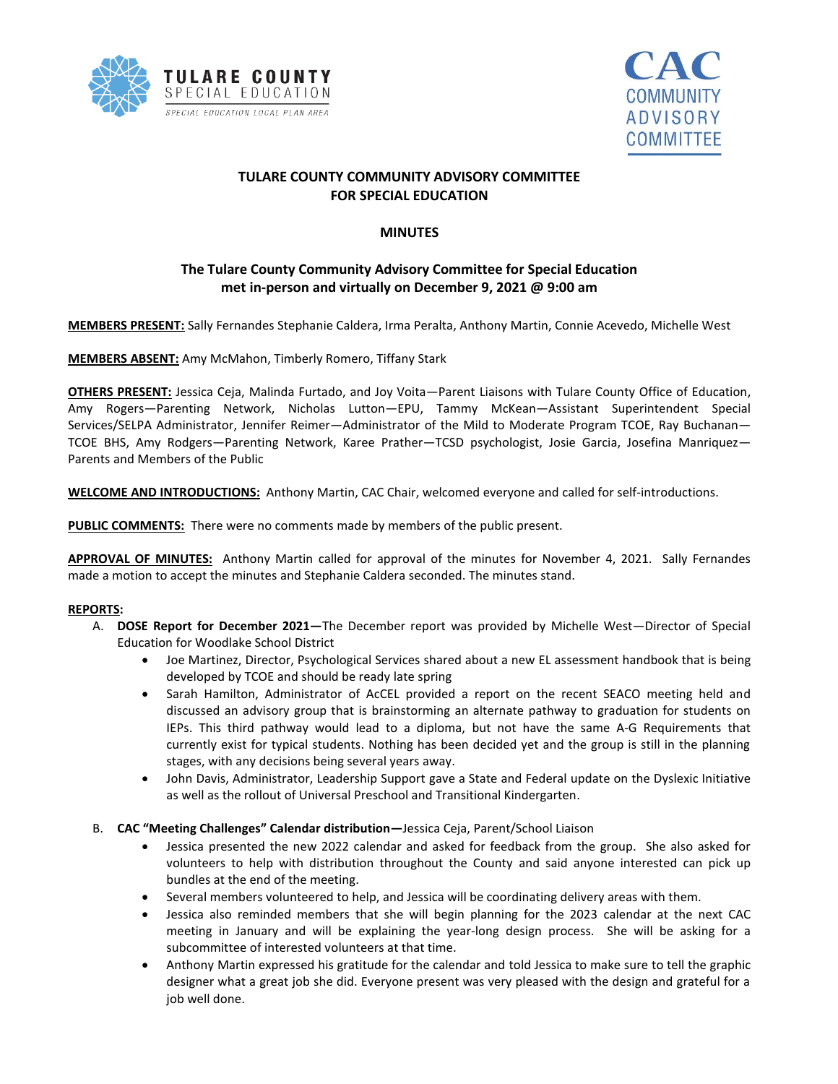



# **TULARE COUNTY COMMUNITY ADVISORY COMMITTEE FOR SPECIAL EDUCATION**

### **MINUTES**

## **The Tulare County Community Advisory Committee for Special Education met in-person and virtually on December 9, 2021 @ 9:00 am**

**MEMBERS PRESENT:** Sally Fernandes Stephanie Caldera, Irma Peralta, Anthony Martin, Connie Acevedo, Michelle West

**MEMBERS ABSENT:** Amy McMahon, Timberly Romero, Tiffany Stark

**OTHERS PRESENT:** Jessica Ceja, Malinda Furtado, and Joy Voita—Parent Liaisons with Tulare County Office of Education, Amy Rogers—Parenting Network, Nicholas Lutton—EPU, Tammy McKean—Assistant Superintendent Special Services/SELPA Administrator, Jennifer Reimer—Administrator of the Mild to Moderate Program TCOE, Ray Buchanan— TCOE BHS, Amy Rodgers—Parenting Network, Karee Prather—TCSD psychologist, Josie Garcia, Josefina Manriquez— Parents and Members of the Public

**WELCOME AND INTRODUCTIONS:** Anthony Martin, CAC Chair, welcomed everyone and called for self-introductions.

**PUBLIC COMMENTS:** There were no comments made by members of the public present.

**APPROVAL OF MINUTES:** Anthony Martin called for approval of the minutes for November 4, 2021. Sally Fernandes made a motion to accept the minutes and Stephanie Caldera seconded. The minutes stand.

#### **REPORTS:**

- A. **DOSE Report for December 2021—**The December report was provided by Michelle West—Director of Special Education for Woodlake School District
	- Joe Martinez, Director, Psychological Services shared about a new EL assessment handbook that is being developed by TCOE and should be ready late spring
	- Sarah Hamilton, Administrator of AcCEL provided a report on the recent SEACO meeting held and discussed an advisory group that is brainstorming an alternate pathway to graduation for students on IEPs. This third pathway would lead to a diploma, but not have the same A-G Requirements that currently exist for typical students. Nothing has been decided yet and the group is still in the planning stages, with any decisions being several years away.
	- John Davis, Administrator, Leadership Support gave a State and Federal update on the Dyslexic Initiative as well as the rollout of Universal Preschool and Transitional Kindergarten.
- B. **CAC "Meeting Challenges" Calendar distribution—**Jessica Ceja, Parent/School Liaison
	- Jessica presented the new 2022 calendar and asked for feedback from the group. She also asked for volunteers to help with distribution throughout the County and said anyone interested can pick up bundles at the end of the meeting.
	- Several members volunteered to help, and Jessica will be coordinating delivery areas with them.
	- Jessica also reminded members that she will begin planning for the 2023 calendar at the next CAC meeting in January and will be explaining the year-long design process. She will be asking for a subcommittee of interested volunteers at that time.
	- Anthony Martin expressed his gratitude for the calendar and told Jessica to make sure to tell the graphic designer what a great job she did. Everyone present was very pleased with the design and grateful for a job well done.